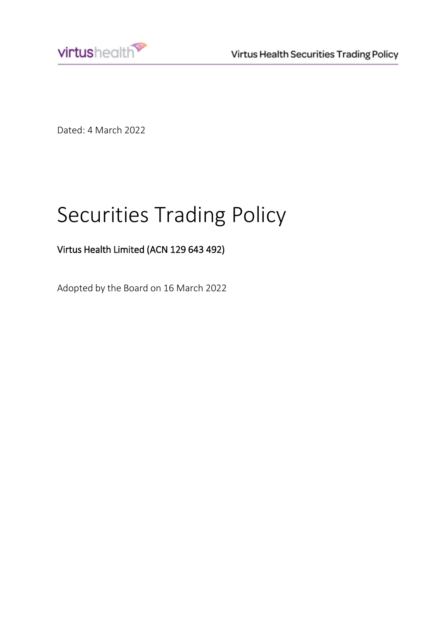

Dated: 4 March 2022

# Securities Trading Policy

## Virtus Health Limited (ACN 129 643 492)

Adopted by the Board on 16 March 2022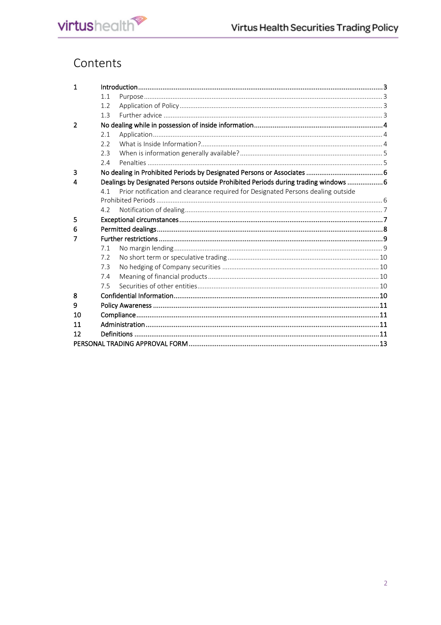## Contents

| $\mathbf 1$      |     |                                                                                     |  |
|------------------|-----|-------------------------------------------------------------------------------------|--|
|                  | 1.1 |                                                                                     |  |
|                  | 1.2 |                                                                                     |  |
|                  | 1.3 |                                                                                     |  |
| $\overline{2}$   |     |                                                                                     |  |
|                  | 2.1 |                                                                                     |  |
|                  | 2.2 |                                                                                     |  |
|                  | 2.3 |                                                                                     |  |
|                  | 2.4 |                                                                                     |  |
| 3                |     |                                                                                     |  |
| $\boldsymbol{4}$ |     | Dealings by Designated Persons outside Prohibited Periods during trading windows  6 |  |
|                  | 4 1 | Prior notification and clearance required for Designated Persons dealing outside    |  |
|                  |     |                                                                                     |  |
|                  | 4.2 |                                                                                     |  |
| 5                |     |                                                                                     |  |
| 6                |     |                                                                                     |  |
|                  |     |                                                                                     |  |
| 7                |     |                                                                                     |  |
|                  | 7.1 |                                                                                     |  |
|                  | 7.2 |                                                                                     |  |
|                  | 7.3 |                                                                                     |  |
|                  | 7.4 |                                                                                     |  |
|                  | 7.5 |                                                                                     |  |
| 8                |     |                                                                                     |  |
| 9                |     |                                                                                     |  |
| 10               |     |                                                                                     |  |
| 11               |     |                                                                                     |  |
| 12               |     |                                                                                     |  |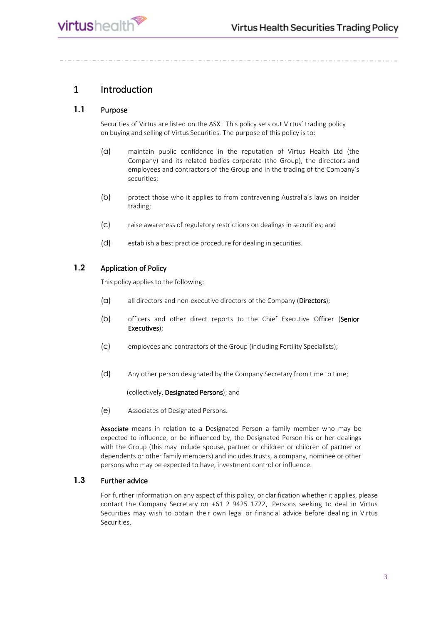

## <span id="page-2-0"></span>1 Introduction

#### <span id="page-2-1"></span>**1.1** Purpose

Securities of Virtus are listed on the ASX. This policy sets out Virtus' trading policy on buying and selling of Virtus Securities. The purpose of this policy is to:

- (a) maintain public confidence in the reputation of Virtus Health Ltd (the Company) and its related bodies corporate (the Group), the directors and employees and contractors of the Group and in the trading of the Company's securities;
- (b) protect those who it applies to from contravening Australia's laws on insider trading;
- (c) raise awareness of regulatory restrictions on dealings in securities; and
- (d) establish a best practice procedure for dealing in securities.

#### <span id="page-2-2"></span>**1.2** Application of Policy

This policy applies to the following:

- (a) all directors and non-executive directors of the Company (Directors);
- (b) officers and other direct reports to the Chief Executive Officer (Senior Executives);
- (c) employees and contractors of the Group (including Fertility Specialists);
- (d) Any other person designated by the Company Secretary from time to time;

(collectively, Designated Persons); and

(e) Associates of Designated Persons.

Associate means in relation to a Designated Person a family member who may be expected to influence, or be influenced by, the Designated Person his or her dealings with the Group (this may include spouse, partner or children or children of partner or dependents or other family members) and includes trusts, a company, nominee or other persons who may be expected to have, investment control or influence.

#### <span id="page-2-3"></span>**1.3** Further advice

For further information on any aspect of this policy, or clarification whether it applies, please contact the Company Secretary on +61 2 9425 1722. Persons seeking to deal in Virtus Securities may wish to obtain their own legal or financial advice before dealing in Virtus Securities.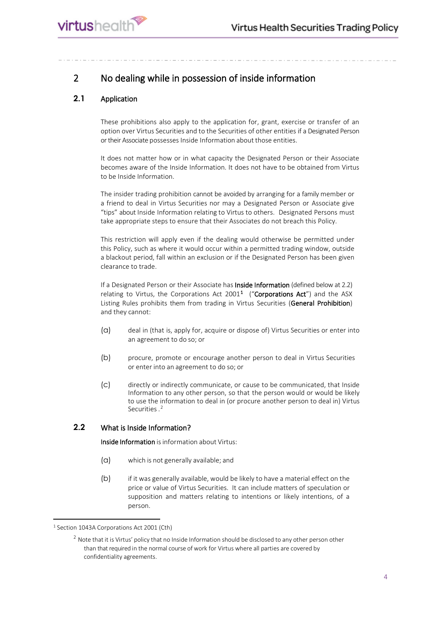## <span id="page-3-0"></span>2 No dealing while in possession of inside information

#### <span id="page-3-1"></span>**2.1** Application

These prohibitions also apply to the application for, grant, exercise or transfer of an option over Virtus Securities and to the Securities of other entities if a Designated Person or their Associate possesses Inside Information about those entities.

It does not matter how or in what capacity the Designated Person or their Associate becomes aware of the Inside Information. It does not have to be obtained from Virtus to be Inside Information.

The insider trading prohibition cannot be avoided by arranging for a family member or a friend to deal in Virtus Securities nor may a Designated Person or Associate give "tips" about Inside Information relating to Virtus to others. Designated Persons must take appropriate steps to ensure that their Associates do not breach this Policy.

This restriction will apply even if the dealing would otherwise be permitted under this Policy, such as where it would occur within a permitted trading window, outside a blackout period, fall within an exclusion or if the Designated Person has been given clearance to trade.

If a Designated Person or their Associate has Inside Information (defined below at 2.2) relating to Virtus, the Corporations Act 200[1](#page-3-3)<sup>1</sup> ("Corporations Act") and the ASX Listing Rules prohibits them from trading in Virtus Securities (General Prohibition) and they cannot:

- (a) deal in (that is, apply for, acquire or dispose of) Virtus Securities or enter into an agreement to do so; or
- (b) procure, promote or encourage another person to deal in Virtus Securities or enter into an agreement to do so; or
- (c) directly or indirectly communicate, or cause to be communicated, that Inside Information to any other person, so that the person would or would be likely to use the information to deal in (or procure another person to deal in) Virtus Securities. [2](#page-3-4)

#### <span id="page-3-2"></span>**2.2** What is Inside Information?

Inside Information is information about Virtus:

- (a) which is not generally available; and
- (b) if it was generally available, would be likely to have a material effect on the price or value of Virtus Securities. It can include matters of speculation or supposition and matters relating to intentions or likely intentions, of a person.

<span id="page-3-4"></span><span id="page-3-3"></span><sup>&</sup>lt;sup>1</sup> Section 1043A Corporations Act 2001 (Cth)

 $2$  Note that it is Virtus' policy that no Inside Information should be disclosed to any other person other than that required in the normal course of work for Virtus where all parties are covered by confidentiality agreements.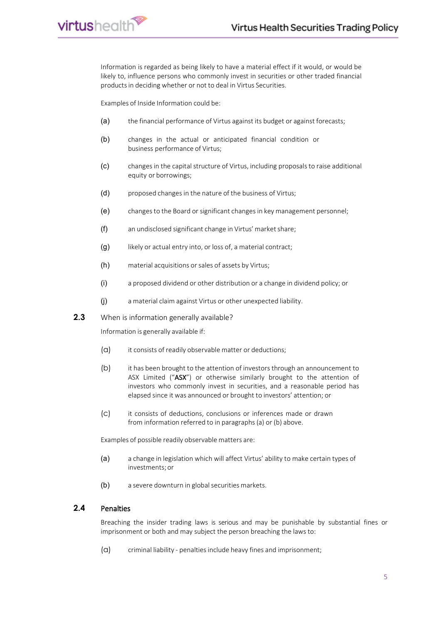Information is regarded as being likely to have a material effect if it would, or would be likely to, influence persons who commonly invest in securities or other traded financial products in deciding whether or not to deal in Virtus Securities.

Examples of Inside Information could be:

virtushealth<sup>®</sup>

- (a) the financial performance of Virtus against its budget or against forecasts;
- (b) changes in the actual or anticipated financial condition or business performance of Virtus;
- (c) changesin the capital structure of Virtus, including proposals to raise additional equity or borrowings;
- (d) proposed changes in the nature of the business of Virtus;
- (e) changesto the Board or significant changesin key management personnel;
- (f) an undisclosed significant change in Virtus' market share;
- (g) likely or actual entry into, or loss of, a material contract;
- (h) material acquisitions or sales of assets by Virtus;
- (i) a proposed dividend or other distribution or a change in dividend policy; or
- (j) a material claim against Virtus or other unexpected liability.
- <span id="page-4-0"></span>**2.3** When is information generally available?

Information is generally available if:

- (a) it consists of readily observable matter or deductions;
- (b) it has been brought to the attention of investors through an announcement to ASX Limited ("ASX") or otherwise similarly brought to the attention of investors who commonly invest in securities, and a reasonable period has elapsed since it was announced or brought to investors' attention; or
- (c) it consists of deductions, conclusions or inferences made or drawn from information referred to in paragraphs (a) or (b) above.

Examples of possible readily observable matters are:

- (a) a change in legislation which will affect Virtus' ability to make certain types of investments; or
- (b) a severe downturn in global securities markets.

#### <span id="page-4-1"></span>**2.4** Penalties

Breaching the insider trading laws is serious and may be punishable by substantial fines or imprisonment or both and may subject the person breaching the laws to:

(a) criminal liability - penaltiesinclude heavy fines and imprisonment;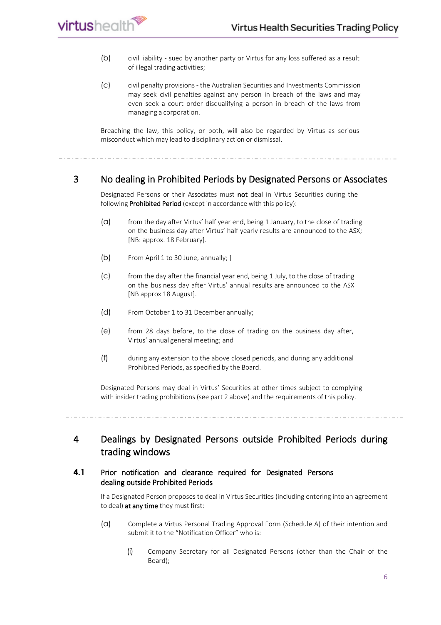- (b) civil liability sued by another party or Virtus for any loss suffered as a result of illegal trading activities;
- (c) civil penalty provisions the Australian Securities and Investments Commission may seek civil penalties against any person in breach of the laws and may even seek a court order disqualifying a person in breach of the laws from managing a corporation.

Breaching the law, this policy, or both, will also be regarded by Virtus as serious misconduct which may lead to disciplinary action or dismissal.

#### <span id="page-5-0"></span>3 No dealing in Prohibited Periods by Designated Persons or Associates

Designated Persons or their Associates must not deal in Virtus Securities during the following Prohibited Period (except in accordance with this policy):

- (a) from the day after Virtus' half year end, being 1 January, to the close of trading on the business day after Virtus' half yearly results are announced to the ASX; [NB: approx. 18 February].
- (b) From April 1 to 30 June, annually; ]

**rirtus**health

- (c) from the day after the financial year end, being 1 July, to the close of trading on the business day after Virtus' annual results are announced to the ASX [NB approx 18 August].
- (d) From October 1 to 31 December annually;
- (e) from 28 days before, to the close of trading on the business day after, Virtus' annual general meeting; and
- (f) during any extension to the above closed periods, and during any additional Prohibited Periods, as specified by the Board.

Designated Persons may deal in Virtus' Securities at other times subject to complying with insider trading prohibitions (see part 2 above) and the requirements of this policy.

<span id="page-5-1"></span>4 Dealings by Designated Persons outside Prohibited Periods during trading windows

#### <span id="page-5-2"></span>**4.1** Prior notification and clearance required for Designated Persons dealing outside Prohibited Periods

If a Designated Person proposes to deal in Virtus Securities (including entering into an agreement to deal) at any time they must first:

- (a) Complete a Virtus Personal Trading Approval Form (Schedule A) of their intention and submit it to the "Notification Officer" who is:
	- (i) Company Secretary for all Designated Persons (other than the Chair of the Board);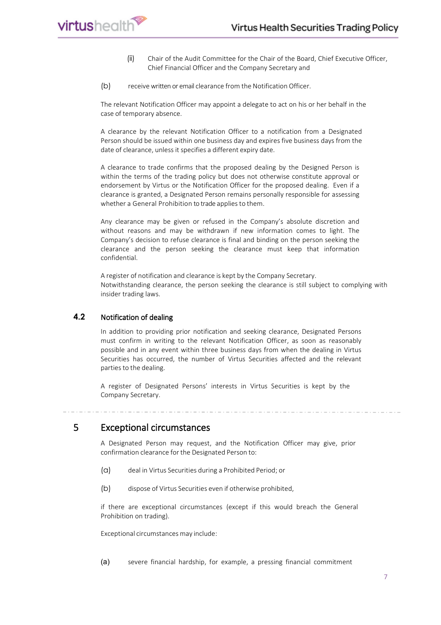- (ii) Chair of the Audit Committee for the Chair of the Board, Chief Executive Officer, Chief Financial Officer and the Company Secretary and
- (b) receive written or email clearance from the Notification Officer.

The relevant Notification Officer may appoint a delegate to act on his or her behalf in the case of temporary absence.

A clearance by the relevant Notification Officer to a notification from a Designated Person should be issued within one business day and expires five business days from the date of clearance, unless it specifies a different expiry date.

A clearance to trade confirms that the proposed dealing by the Designed Person is within the terms of the trading policy but does not otherwise constitute approval or endorsement by Virtus or the Notification Officer for the proposed dealing. Even if a clearance is granted, a Designated Person remains personally responsible for assessing whether a General Prohibition to trade applies to them.

Any clearance may be given or refused in the Company's absolute discretion and without reasons and may be withdrawn if new information comes to light. The Company's decision to refuse clearance is final and binding on the person seeking the clearance and the person seeking the clearance must keep that information confidential.

A register of notification and clearance is kept by the Company Secretary. Notwithstanding clearance, the person seeking the clearance is still subject to complying with insider trading laws.

#### <span id="page-6-0"></span>**4.2** Notification of dealing

In addition to providing prior notification and seeking clearance, Designated Persons must confirm in writing to the relevant Notification Officer, as soon as reasonably possible and in any event within three business days from when the dealing in Virtus Securities has occurred, the number of Virtus Securities affected and the relevant parties to the dealing.

A register of Designated Persons' interests in Virtus Securities is kept by the Company Secretary.

<span id="page-6-1"></span>5 Exceptional circumstances

A Designated Person may request, and the Notification Officer may give, prior confirmation clearance for the Designated Person to:

- (a) deal in Virtus Securities during a Prohibited Period; or
- (b) dispose of Virtus Securities even if otherwise prohibited,

if there are exceptional circumstances (except if this would breach the General Prohibition on trading).

Exceptional circumstances may include:

(a) severe financial hardship, for example, a pressing financial commitment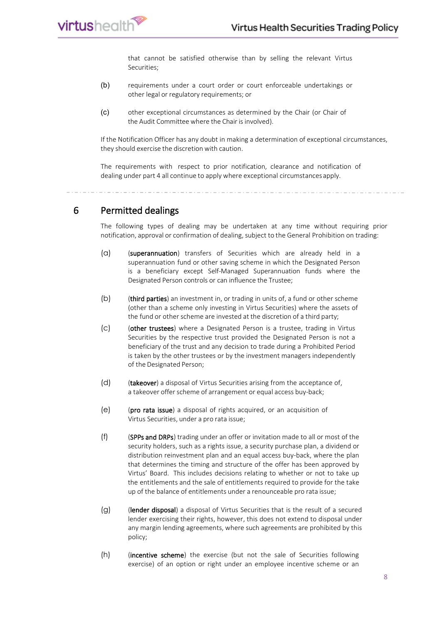

that cannot be satisfied otherwise than by selling the relevant Virtus Securities;

- (b) requirements under a court order or court enforceable undertakings or other legal or regulatory requirements; or
- (c) other exceptional circumstances as determined by the Chair (or Chair of the Audit Committee where the Chair is involved).

If the Notification Officer has any doubt in making a determination of exceptional circumstances, they should exercise the discretion with caution.

The requirements with respect to prior notification, clearance and notification of dealing under part 4 all continue to apply where exceptional circumstances apply.

<span id="page-7-0"></span>6 Permitted dealings

The following types of dealing may be undertaken at any time without requiring prior notification, approval or confirmation of dealing, subject to the General Prohibition on trading:

- (a) (superannuation) transfers of Securities which are already held in a superannuation fund or other saving scheme in which the Designated Person is a beneficiary except Self-Managed Superannuation funds where the Designated Person controls or can influence the Trustee;
- (b) (third parties) an investment in, or trading in units of, a fund or other scheme (other than a scheme only investing in Virtus Securities) where the assets of the fund or other scheme are invested at the discretion of a third party;
- (c) (other trustees) where a Designated Person is a trustee, trading in Virtus Securities by the respective trust provided the Designated Person is not a beneficiary of the trust and any decision to trade during a Prohibited Period is taken by the other trustees or by the investment managers independently of the Designated Person;
- (d) (takeover) a disposal of Virtus Securities arising from the acceptance of, a takeover offer scheme of arrangement or equal access buy-back;
- (e) (pro rata issue) a disposal of rights acquired, or an acquisition of Virtus Securities, under a pro rata issue;
- (f) (SPPs and DRPs) trading under an offer or invitation made to all or most of the security holders, such as a rights issue, a security purchase plan, a dividend or distribution reinvestment plan and an equal access buy-back, where the plan that determines the timing and structure of the offer has been approved by Virtus' Board. This includes decisions relating to whether or not to take up the entitlements and the sale of entitlements required to provide for the take up of the balance of entitlements under a renounceable pro rata issue;
- (g) (lender disposal) a disposal of Virtus Securities that is the result of a secured lender exercising their rights, however, this does not extend to disposal under any margin lending agreements, where such agreements are prohibited by this policy;
- (h) (incentive scheme) the exercise (but not the sale of Securities following exercise) of an option or right under an employee incentive scheme or an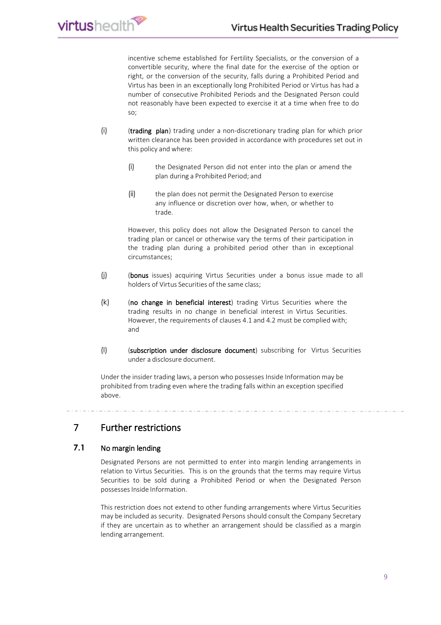incentive scheme established for Fertility Specialists, or the conversion of a convertible security, where the final date for the exercise of the option or right, or the conversion of the security, falls during a Prohibited Period and Virtus has been in an exceptionally long Prohibited Period or Virtus has had a number of consecutive Prohibited Periods and the Designated Person could not reasonably have been expected to exercise it at a time when free to do so;

- (i) (trading plan) trading under a non-discretionary trading plan for which prior written clearance has been provided in accordance with procedures set out in this policy and where:
	- (i) the Designated Person did not enter into the plan or amend the plan during a Prohibited Period; and
	- (ii) the plan does not permit the Designated Person to exercise any influence or discretion over how, when, or whether to trade.

However, this policy does not allow the Designated Person to cancel the trading plan or cancel or otherwise vary the terms of their participation in the trading plan during a prohibited period other than in exceptional circumstances;

- (j) (bonus issues) acquiring Virtus Securities under a bonus issue made to all holders of Virtus Securities of the same class;
- (k) (no change in beneficial interest) trading Virtus Securities where the trading results in no change in beneficial interest in Virtus Securities. However, the requirements of clauses 4.1 and 4.2 must be complied with; and
- (l) (subscription under disclosure document) subscribing for Virtus Securities under a disclosure document.

Under the insider trading laws, a person who possesses Inside Information may be prohibited from trading even where the trading falls within an exception specified above.

### <span id="page-8-0"></span>7 Further restrictions

#### <span id="page-8-1"></span>**7.1** No margin lending

**rirtus**health

Designated Persons are not permitted to enter into margin lending arrangements in relation to Virtus Securities. This is on the grounds that the terms may require Virtus Securities to be sold during a Prohibited Period or when the Designated Person possesses Inside Information.

This restriction does not extend to other funding arrangements where Virtus Securities may be included as security. Designated Persons should consult the Company Secretary if they are uncertain as to whether an arrangement should be classified as a margin lending arrangement.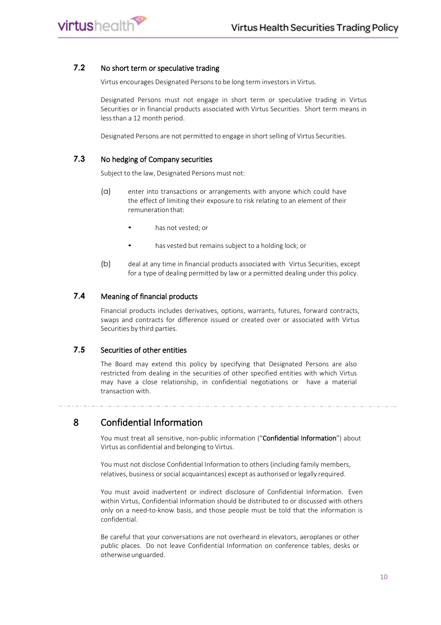#### <span id="page-9-0"></span>**7.2** No short term or speculative trading

*irtushealth* 

Virtus encourages Designated Persons to be long term investors in Virtus.

Designated Persons must not engage in short term or speculative trading in Virtus Securities or in financial products associated with Virtus Securities. Short term means in lessthan a 12 month period.

Designated Persons are not permitted to engage in short selling of Virtus Securities.

#### <span id="page-9-1"></span>**7.3** No hedging of Company securities

Subject to the law, Designated Persons must not:

- (a) enter into transactions or arrangements with anyone which could have the effect of limiting their exposure to risk relating to an element of their remuneration that:
	- has not vested; or
	- has vested but remains subject to a holding lock; or
- (b) deal at any time in financial products associated with Virtus Securities, except for a type of dealing permitted by law or a permitted dealing under this policy.

#### <span id="page-9-2"></span>**7.4** Meaning of financial products

Financial products includes derivatives, options, warrants, futures, forward contracts, swaps and contracts for difference issued or created over or associated with Virtus Securities by third parties.

#### <span id="page-9-3"></span>**7.5** Securities of other entities

The Board may extend this policy by specifying that Designated Persons are also restricted from dealing in the securities of other specified entities with which Virtus may have a close relationship, in confidential negotiations or have a material transaction with.

<span id="page-9-4"></span>8 Confidential Information

You must treat all sensitive, non-public information ("Confidential Information") about Virtus as confidential and belonging to Virtus.

You must not disclose Confidential Information to others (including family members, relatives, business or social acquaintances) except as authorised or legally required.

You must avoid inadvertent or indirect disclosure of Confidential Information. Even within Virtus, Confidential Information should be distributed to or discussed with others only on a need-to-know basis, and those people must be told that the information is confidential.

Be careful that your conversations are not overheard in elevators, aeroplanes or other public places. Do not leave Confidential Information on conference tables, desks or otherwise unguarded.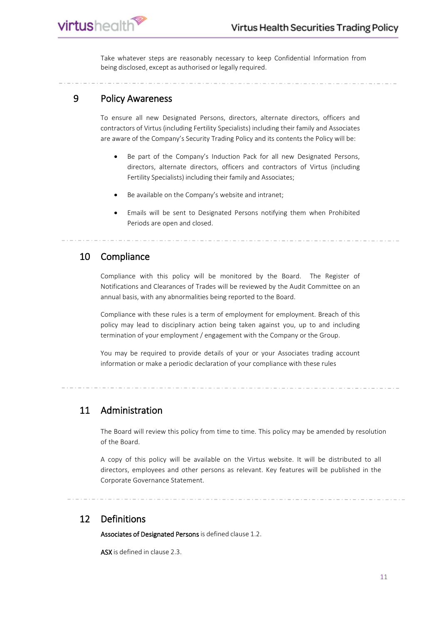*rirtushealth* 

Take whatever steps are reasonably necessary to keep Confidential Information from being disclosed, except as authorised or legally required.

#### <span id="page-10-0"></span>9 Policy Awareness

To ensure all new Designated Persons, directors, alternate directors, officers and contractors of Virtus (including Fertility Specialists) including their family and Associates are aware of the Company's Security Trading Policy and its contents the Policy will be:

- Be part of the Company's Induction Pack for all new Designated Persons, directors, alternate directors, officers and contractors of Virtus (including Fertility Specialists) including their family and Associates;
- Be available on the Company's website and intranet;
- Emails will be sent to Designated Persons notifying them when Prohibited Periods are open and closed.

#### <span id="page-10-1"></span>10 Compliance

Compliance with this policy will be monitored by the Board. The Register of Notifications and Clearances of Trades will be reviewed by the Audit Committee on an annual basis, with any abnormalities being reported to the Board.

Compliance with these rules is a term of employment for employment. Breach of this policy may lead to disciplinary action being taken against you, up to and including termination of your employment / engagement with the Company or the Group.

You may be required to provide details of your or your Associates trading account information or make a periodic declaration of your compliance with these rules

#### <span id="page-10-2"></span>11 Administration

The Board will review this policy from time to time. This policy may be amended by resolution of the Board.

A copy of this policy will be available on the Virtus website. It will be distributed to all directors, employees and other persons as relevant. Key features will be published in the Corporate Governance Statement.

#### <span id="page-10-3"></span>12 Definitions

Associates of Designated Persons is defined clause 1.2.

ASX is defined in clause 2.3.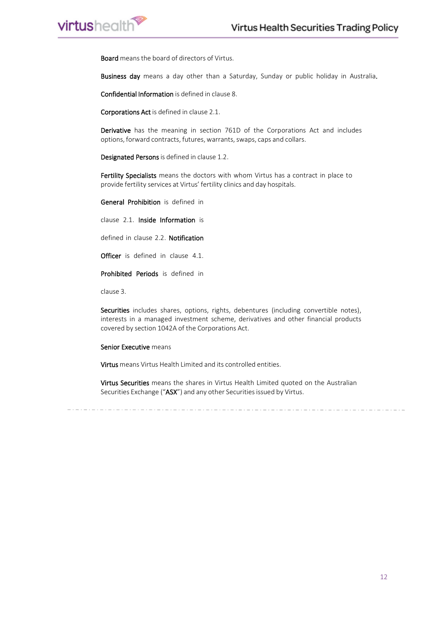Board means the board of directors of Virtus.

Business day means a day other than a Saturday, Sunday or public holiday in Australia.

Confidential Information is defined in clause 8.

Corporations Act is defined in clause 2.1.

Derivative has the meaning in section 761D of the Corporations Act and includes options, forward contracts, futures, warrants, swaps, caps and collars.

Designated Persons is defined in clause 1.2.

Fertility Specialists means the doctors with whom Virtus has a contract in place to provide fertility services at Virtus' fertility clinics and day hospitals.

General Prohibition is defined in

clause 2.1. Inside Information is

defined in clause 2.2. Notification

Officer is defined in clause 4.1.

Prohibited Periods is defined in

clause 3.

**virtushealth** 

Securities includes shares, options, rights, debentures (including convertible notes), interests in a managed investment scheme, derivatives and other financial products covered by section 1042A of the Corporations Act.

#### Senior Executive means

Virtus means Virtus Health Limited and its controlled entities.

Virtus Securities means the shares in Virtus Health Limited quoted on the Australian Securities Exchange ("ASX") and any other Securities issued by Virtus.